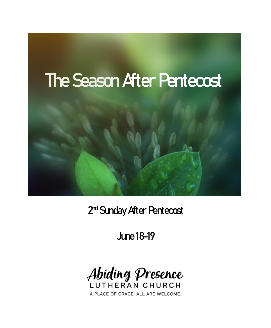

2<sup>nd</sup> Sunday After Pentecost

June 18-19



A PLACE OF GRACE. ALL ARE WELCOME.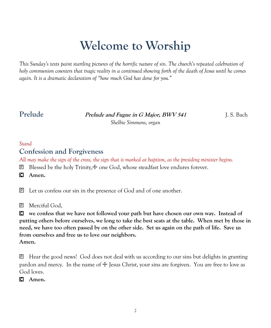# **Welcome to Worship**

*This Sunday's texts paint startling pictures of the horrific nature of sin. The church's repeated celebration of holy communion counters that tragic reality in a continued showing forth of the death of Jesus until he comes again. It is a dramatic declaration of "how much God has done for you."*

**Prelude Prelude and Fugue in G Major, BWV 541** J. S. Bach

*Shelbie Simmons, organ*

#### *Stand*

#### **Confession and Forgiveness**

*All may make the sign of the cross, the sign that is marked at baptism, as the presiding minister begins.*

 $\mathbb{E}$  Blessed be the holy Trinity, $\pm$  one God, whose steadfast love endures forever.

**Amen.**

Let us confess our sin in the presence of God and of one another.

Merciful God,

 **we confess that we have not followed your path but have chosen our own way. Instead of putting others before ourselves, we long to take the best seats at the table. When met by those in need, we have too often passed by on the other side. Set us again on the path of life. Save us from ourselves and free us to love our neighbors. Amen.**

 Hear the good news! God does not deal with us according to our sins but delights in granting pardon and mercy. In the name of  $\pm$  Jesus Christ, your sins are forgiven. You are free to love as God loves.

**Amen.**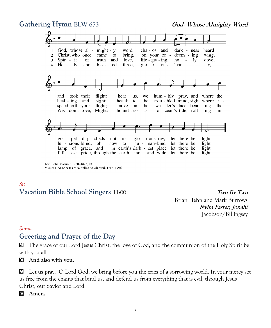#### **Gathering Hymn ELW** 673 **God,** *Whose Almighty Word*



Music: ITALIAN HYMN, Felice de Giardini, 1716-1796

# *Sit*

**Vacation Bible School Singers** 11:00 **Two By Two**

Brian Hehn and Mark Burrows **Swim Faster, Jonah!** Jacobson/Billingsey

#### *Stand*

#### **Greeting and Prayer of the Day**

 The grace of our Lord Jesus Christ, the love of God, and the communion of the Holy Spirit be with you all.

#### **And also with you.**

 Let us pray. O Lord God, we bring before you the cries of a sorrowing world. In your mercy set us free from the chains that bind us, and defend us from everything that is evil, through Jesus Christ, our Savior and Lord.

**Amen.**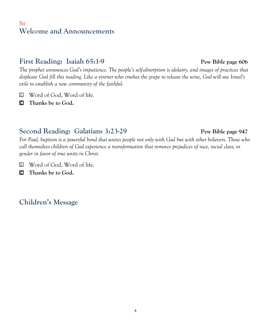#### *Sit* **Welcome and Announcements**

### **First Reading:** Isaiah 65:1-9 **Pew Bible page** 606

*The prophet announces God's impatience. The people's self-absorption is idolatry, and images of practices that displease God fill this reading. Like a vintner who crushes the grape to release the wine, God will use Israel's exile to establish a new community of the faithful.*

- Word of God, Word of life.
- **Thanks be to God.**

### **Second Reading: Galatians 3:23-29 Pew Bible page 947**

*For Paul, baptism is a powerful bond that unites people not only with God but with other believers. Those who call themselves children of God experience a transformation that removes prejudices of race, social class, or gender in favor of true unity in Christ.*

Word of God, Word of life.

**Thanks be to God.**

**Children's Message**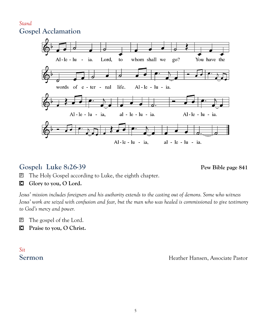#### *Stand* **Gospel Acclamation**



#### **Gospel: Luke 8:26-39 Pew Bible page 841**

The Holy Gospel according to Luke, the eighth chapter.

#### **Glory to you, O Lord.**

*Jesus' mission includes foreigners and his authority extends to the casting out of demons. Some who witness Jesus' work are seized with confusion and fear, but the man who was healed is commissioned to give testimony to God's mercy and power.*

The gospel of the Lord.

**Praise to you, O Christ.**

# *Sit*

**Sermon** Heather Hansen, Associate Pastor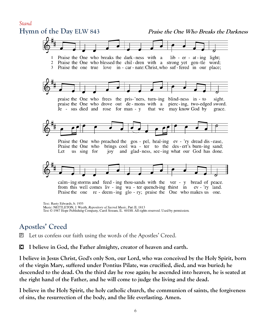

#### **Apostles' Creed**

Let us confess our faith using the words of the Apostles' Creed.

**I believe in God, the Father almighty, creator of heaven and earth.**

**I believe in Jesus Christ, God's only Son, our Lord, who was conceived by the Holy Spirit, born of the virgin Mary, suffered under Pontius Pilate, was crucified, died, and was buried; he descended to the dead. On the third day he rose again; he ascended into heaven, he is seated at the right hand of the Father, and he will come to judge the living and the dead.**

**I believe in the Holy Spirit, the holy catholic church, the communion of saints, the forgiveness of sins, the resurrection of the body, and the life everlasting. Amen.**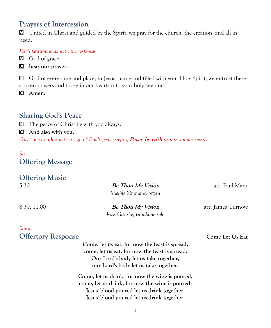#### **Prayers of Intercession**

 United in Christ and guided by the Spirit, we pray for the church, the creation, and all in need.

*Each petition ends with the response:*

- God of grace,
- **hear our prayer.**

 God of every time and place, in Jesus' name and filled with your Holy Spirit, we entrust these spoken prayers and those in our hearts into your holy keeping.

**Amen.**

### **Sharing God's Peace**

The peace of Christ be with you always.

**And also with you.**

Greet one another with a sign of God's peace saying **Peace be with you** or similar words.

#### *Sit* **Offering Message**

## **Offering Music** 5:30 **Be Thou My Vision** arr. Paul Manz *Shelbie Simmons, organ* 8:30, 11:00 **Be Thou My Vision** arr. James Curnow *Ross Ganske, trombone solo Stand*  **Offertory Response Come Let Us Eat**

| Come, let us eat, for now the feast is spread,  |  |
|-------------------------------------------------|--|
| come, let us eat, for now the feast is spread.  |  |
| Our Lord's body let us take together,           |  |
| our Lord's body let us take together.           |  |
| Come, let us drink, for now the wine is poured, |  |
| come, let us drink, for now the wine is poured. |  |
| Jesus' blood poured let us drink together,      |  |
| Jesus' blood poured let us drink together.      |  |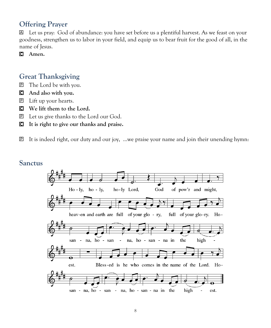#### **Offering Prayer**

 Let us pray: God of abundance: you have set before us a plentiful harvest. As we feast on your goodness, strengthen us to labor in your field, and equip us to bear fruit for the good of all, in the name of Jesus.

**Amen.**

#### **Great Thanksgiving**

- The Lord be with you.
- **And also with you.**
- Lift up your hearts.
- **We lift them to the Lord.**
- Let us give thanks to the Lord our God.
- **It is right to give our thanks and praise.**

It is indeed right, our duty and our joy, …we praise your name and join their unending hymn:

#### **Sanctus**

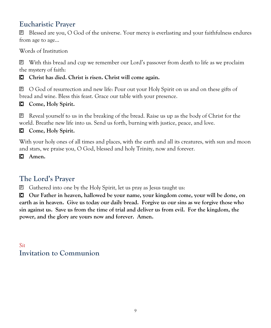### **Eucharistic Prayer**

 Blessed are you, O God of the universe. Your mercy is everlasting and your faithfulness endures from age to age…

Words of Institution

 With this bread and cup we remember our Lord's passover from death to life as we proclaim the mystery of faith:

#### **Christ has died. Christ is risen. Christ will come again.**

 O God of resurrection and new life: Pour out your Holy Spirit on us and on these gifts of bread and wine. Bless this feast. Grace our table with your presence.

#### **Come, Holy Spirit.**

 $\mathbb{P}$  Reveal yourself to us in the breaking of the bread. Raise us up as the body of Christ for the world. Breathe new life into us. Send us forth, burning with justice, peace, and love.

#### **Come, Holy Spirit.**

With your holy ones of all times and places, with the earth and all its creatures, with sun and moon and stars, we praise you, O God, blessed and holy Trinity, now and forever.

**Amen.**

### **The Lord's Prayer**

Gathered into one by the Holy Spirit, let us pray as Jesus taught us:

 **Our Father in heaven, hallowed be your name, your kingdom come, your will be done, on earth as in heaven. Give us today our daily bread. Forgive us our sins as we forgive those who sin against us. Save us from the time of trial and deliver us from evil. For the kingdom, the power, and the glory are yours now and forever. Amen.**

*Sit* **Invitation to Communion**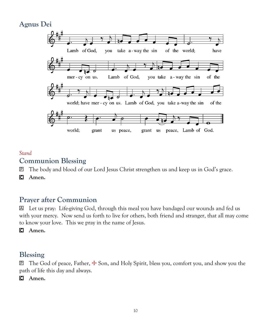### **Agnus Dei**



#### *Stand*

#### **Communion Blessing**

- The body and blood of our Lord Jesus Christ strengthen us and keep us in God's grace.
- **Amen.**

#### **Prayer after Communion**

 Let us pray: Life-giving God, through this meal you have bandaged our wounds and fed us with your mercy. Now send us forth to live for others, both friend and stranger, that all may come to know your love. This we pray in the name of Jesus.

**Amen.**

#### **Blessing**

 $\mathbb{P}$  The God of peace, Father,  $\pm$  Son, and Holy Spirit, bless you, comfort you, and show you the path of life this day and always.

**Amen.**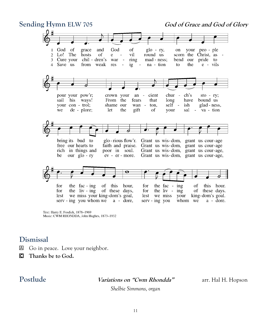

Text: Harry E. Fosdick, 1878-1969 Music: CWM RHONDDA, John Hughes, 1873-1932

#### **Dismissal**

- Go in peace. Love your neighbor.
- **Thanks be to God.**

**Postlude Variations on "Cwm Rhondda"** arr. Hal H. Hopson

*Shelbie Simmons, organ*